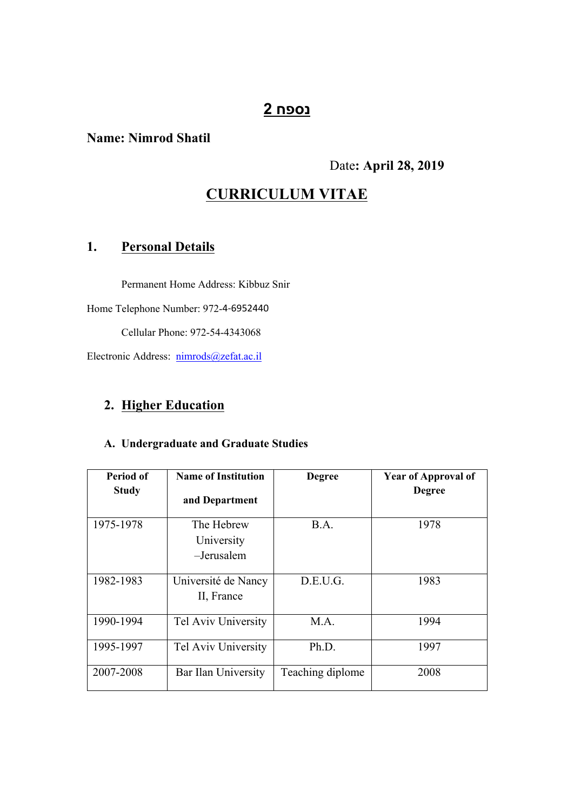# **נספח 2**

## **Name: Nimrod Shatil**

### Date**: April 28, 2019**

# **CURRICULUM VITAE**

# **1. Personal Details**

Permanent Home Address: Kibbuz Snir

Home Telephone Number: 972-4-6952440

Cellular Phone: 972-54-4343068

Electronic Address: [nimrods@zefat.ac.il](mailto:nimrods@zefat.ac.il)

# **2. Higher Education**

#### **A. Undergraduate and Graduate Studies**

| <b>Period of</b> | <b>Name of Institution</b>             | <b>Degree</b>    | <b>Year of Approval of</b> |
|------------------|----------------------------------------|------------------|----------------------------|
| <b>Study</b>     | and Department                         |                  | <b>Degree</b>              |
| 1975-1978        | The Hebrew<br>University<br>-Jerusalem | B.A.             | 1978                       |
| 1982-1983        | Université de Nancy<br>II, France      | D.E.U.G.         | 1983                       |
| 1990-1994        | Tel Aviv University                    | M.A.             | 1994                       |
| 1995-1997        | Tel Aviv University                    | Ph.D.            | 1997                       |
| 2007-2008        | Bar Ilan University                    | Teaching diplome | 2008                       |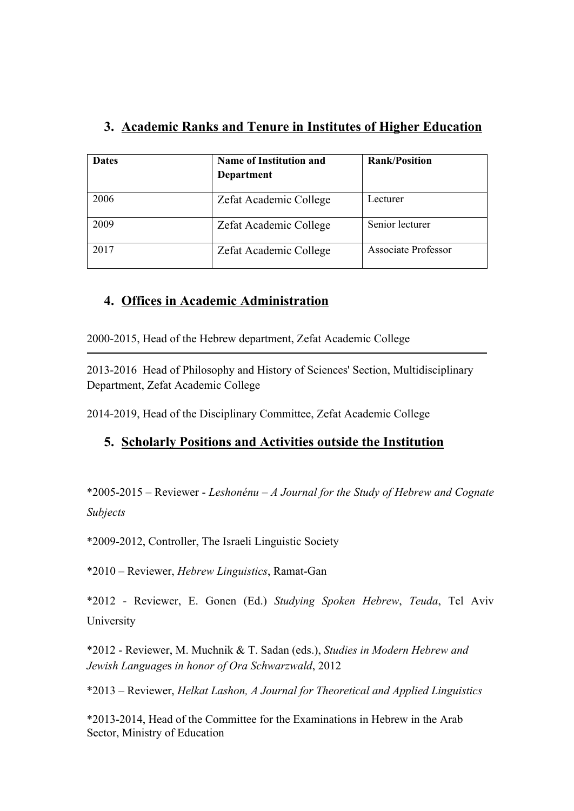# **3. Academic Ranks and Tenure in Institutes of Higher Education**

| <b>Dates</b> | <b>Name of Institution and</b><br>Department | <b>Rank/Position</b>       |
|--------------|----------------------------------------------|----------------------------|
| 2006         | Zefat Academic College                       | Lecturer                   |
| 2009         | Zefat Academic College                       | Senior lecturer            |
| 2017         | Zefat Academic College                       | <b>Associate Professor</b> |

# **4. Offices in Academic Administration**

2000-2015, Head of the Hebrew department, Zefat Academic College

2013-2016 Head of Philosophy and History of Sciences' Section, Multidisciplinary Department, Zefat Academic College

2014-2019, Head of the Disciplinary Committee, Zefat Academic College

# **5. Scholarly Positions and Activities outside the Institution**

\*2005-2015 – Reviewer - *Leshonénu – A Journal for the Study of Hebrew and Cognate Subjects*

\*2009-2012, Controller, The Israeli Linguistic Society

\*2010 – Reviewer, *Hebrew Linguistics*, Ramat-Gan

\*2012 - Reviewer, E. Gonen (Ed.) *Studying Spoken Hebrew*, *Teuda*, Tel Aviv University

\*2012 - Reviewer, M. Muchnik & T. Sadan (eds.), *Studies in Modern Hebrew and Jewish Language*s *in honor of Ora Schwarzwald*, 2012

\*2013 – Reviewer, *Helkat Lashon, A Journal for Theoretical and Applied Linguistics*

\*2013-2014, Head of the Committee for the Examinations in Hebrew in the Arab Sector, Ministry of Education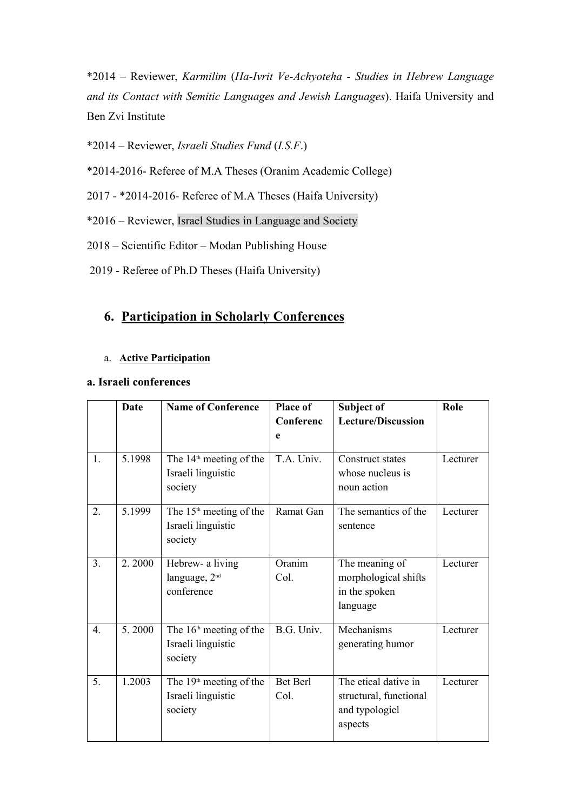\*2014 – Reviewer, *Karmilim* (*Ha-Ivrit Ve-Achyoteha - Studies in Hebrew Language and its Contact with Semitic Languages and Jewish Languages*). Haifa University and Ben Zvi Institute

\*2014 – Reviewer, *Israeli Studies Fund* (*I.S.F*.)

\*2014-2016- Referee of M.A Theses (Oranim Academic College)

2017 - \*2014-2016- Referee of M.A Theses (Haifa University)

\*2016 – Reviewer, Israel Studies in Language and Society

2018 – Scientific Editor – Modan Publishing House

2019 - Referee of Ph.D Theses (Haifa University)

## **6. Participation in Scholarly Conferences**

#### a. **Active Participation**

#### **a. Israeli conferences**

|                  | Date   | <b>Name of Conference</b>                                            | <b>Place of</b><br>Conferenc | Subject of<br><b>Lecture/Discussion</b>                                     | Role     |
|------------------|--------|----------------------------------------------------------------------|------------------------------|-----------------------------------------------------------------------------|----------|
|                  |        |                                                                      | e                            |                                                                             |          |
| 1.               | 5.1998 | The 14 <sup>th</sup> meeting of the<br>Israeli linguistic<br>society | T.A. Univ.                   | Construct states<br>whose nucleus is<br>noun action                         | Lecturer |
| 2.               | 5.1999 | The $15th$ meeting of the<br>Israeli linguistic<br>society           | Ramat Gan                    | The semantics of the<br>sentence                                            | Lecturer |
| 3 <sub>1</sub>   | 2.2000 | Hebrew- a living<br>language, 2 <sup>nd</sup><br>conference          | Oranim<br>Col.               | The meaning of<br>morphological shifts<br>in the spoken<br>language         | Lecturer |
| $\overline{4}$ . | 5.2000 | The $16th$ meeting of the<br>Israeli linguistic<br>society           | B.G. Univ.                   | Mechanisms<br>generating humor                                              | Lecturer |
| 5.               | 1.2003 | The $19th$ meeting of the<br>Israeli linguistic<br>society           | Bet Berl<br>Col.             | The etical dative in<br>structural, functional<br>and typologicl<br>aspects | Lecturer |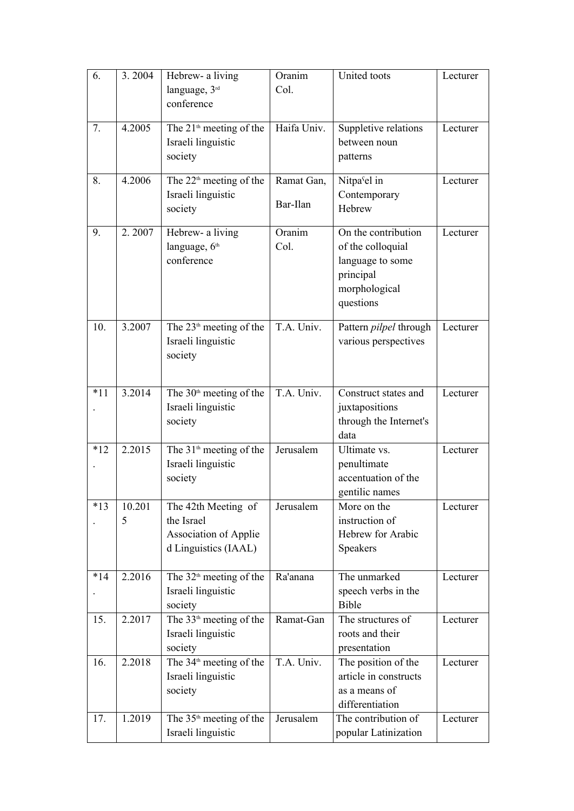| 6.    | 3.2004      | Hebrew- a living<br>language, 3rd<br>conference                                    | Oranim<br>Col.         | United toots                                                                                            | Lecturer |
|-------|-------------|------------------------------------------------------------------------------------|------------------------|---------------------------------------------------------------------------------------------------------|----------|
| 7.    | 4.2005      | The 21 <sup>th</sup> meeting of the<br>Israeli linguistic<br>society               | Haifa Univ.            | Suppletive relations<br>between noun<br>patterns                                                        | Lecturer |
| 8.    | 4.2006      | The $22th$ meeting of the<br>Israeli linguistic<br>society                         | Ramat Gan,<br>Bar-Ilan | Nitpa <sup>s</sup> el in<br>Contemporary<br>Hebrew                                                      | Lecturer |
| 9.    | 2.2007      | Hebrew- a living<br>language, 6th<br>conference                                    | Oranim<br>Col.         | On the contribution<br>of the colloquial<br>language to some<br>principal<br>morphological<br>questions | Lecturer |
| 10.   | 3.2007      | The $23th$ meeting of the<br>Israeli linguistic<br>society                         | T.A. Univ.             | Pattern pilpel through<br>various perspectives                                                          | Lecturer |
| $*11$ | 3.2014      | The 30 <sup>th</sup> meeting of the<br>Israeli linguistic<br>society               | T.A. Univ.             | Construct states and<br>juxtapositions<br>through the Internet's<br>data                                | Lecturer |
| $*12$ | 2.2015      | The 31 <sup>th</sup> meeting of the<br>Israeli linguistic<br>society               | Jerusalem              | Ultimate vs.<br>penultimate<br>accentuation of the<br>gentilic names                                    | Lecturer |
| $*13$ | 10.201<br>5 | The 42th Meeting of<br>the Israel<br>Association of Applie<br>d Linguistics (IAAL) | Jerusalem              | More on the<br>instruction of<br>Hebrew for Arabic<br>Speakers                                          | Lecturer |
| $*14$ | 2.2016      | The $32th$ meeting of the<br>Israeli linguistic<br>society                         | Ra'anana               | The unmarked<br>speech verbs in the<br><b>Bible</b>                                                     | Lecturer |
| 15.   | 2.2017      | The 33 <sup>th</sup> meeting of the<br>Israeli linguistic<br>society               | Ramat-Gan              | The structures of<br>roots and their<br>presentation                                                    | Lecturer |
| 16.   | 2.2018      | The 34 <sup>th</sup> meeting of the<br>Israeli linguistic<br>society               | T.A. Univ.             | The position of the<br>article in constructs<br>as a means of<br>differentiation                        | Lecturer |
| 17.   | 1.2019      | The $35th$ meeting of the<br>Israeli linguistic                                    | Jerusalem              | The contribution of<br>popular Latinization                                                             | Lecturer |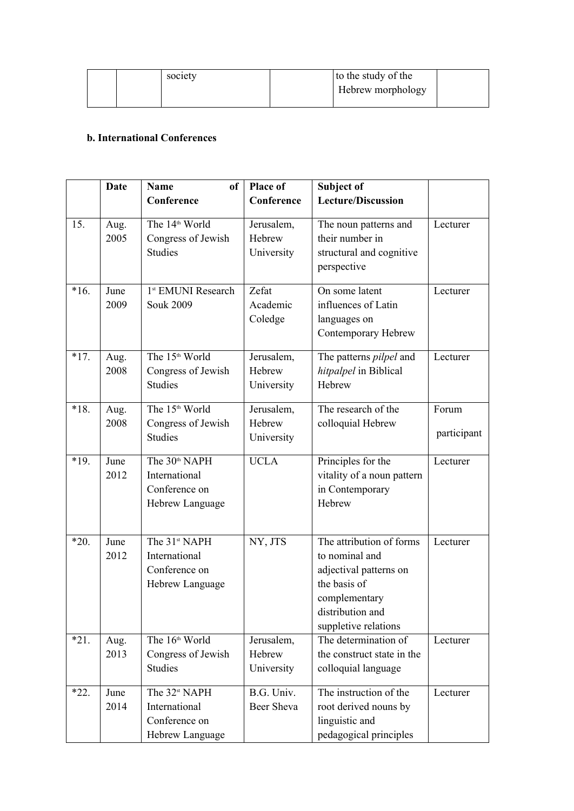| society | to the study of the |
|---------|---------------------|
|         | Hebrew morphology   |
|         |                     |

#### **b. International Conferences**

|        | <b>Date</b>  | <sub>of</sub><br><b>Name</b>                                                   | <b>Place of</b>                    | Subject of                                                                                                                                        |                      |
|--------|--------------|--------------------------------------------------------------------------------|------------------------------------|---------------------------------------------------------------------------------------------------------------------------------------------------|----------------------|
|        |              | Conference                                                                     | Conference                         | <b>Lecture/Discussion</b>                                                                                                                         |                      |
| 15.    | Aug.<br>2005 | The 14 <sup>th</sup> World<br>Congress of Jewish<br><b>Studies</b>             | Jerusalem,<br>Hebrew<br>University | The noun patterns and<br>their number in<br>structural and cognitive<br>perspective                                                               | Lecturer             |
| $*16.$ | June<br>2009 | 1 <sup>st</sup> EMUNI Research<br><b>Souk 2009</b>                             | Zefat<br>Academic<br>Coledge       | On some latent<br>influences of Latin<br>languages on<br>Contemporary Hebrew                                                                      | Lecturer             |
| $*17.$ | Aug.<br>2008 | The 15 <sup>th</sup> World<br>Congress of Jewish<br><b>Studies</b>             | Jerusalem,<br>Hebrew<br>University | The patterns <i>pilpel</i> and<br>hitpalpel in Biblical<br>Hebrew                                                                                 | Lecturer             |
| $*18.$ | Aug.<br>2008 | The 15 <sup>th</sup> World<br>Congress of Jewish<br><b>Studies</b>             | Jerusalem,<br>Hebrew<br>University | The research of the<br>colloquial Hebrew                                                                                                          | Forum<br>participant |
| $*19.$ | June<br>2012 | The 30 <sup>th</sup> NAPH<br>International<br>Conference on<br>Hebrew Language | <b>UCLA</b>                        | Principles for the<br>vitality of a noun pattern<br>in Contemporary<br>Hebrew                                                                     | Lecturer             |
| $*20.$ | June<br>2012 | The 31 <sup>st</sup> NAPH<br>International<br>Conference on<br>Hebrew Language | NY, JTS                            | The attribution of forms<br>to nominal and<br>adjectival patterns on<br>the basis of<br>complementary<br>distribution and<br>suppletive relations | Lecturer             |
| $*21.$ | Aug.<br>2013 | The 16 <sup>th</sup> World<br>Congress of Jewish<br>Studies                    | Jerusalem,<br>Hebrew<br>University | The determination of<br>the construct state in the<br>colloquial language                                                                         | Lecturer             |
| $*22.$ | June<br>2014 | The 32 <sup>st</sup> NAPH<br>International<br>Conference on<br>Hebrew Language | B.G. Univ.<br>Beer Sheva           | The instruction of the<br>root derived nouns by<br>linguistic and<br>pedagogical principles                                                       | Lecturer             |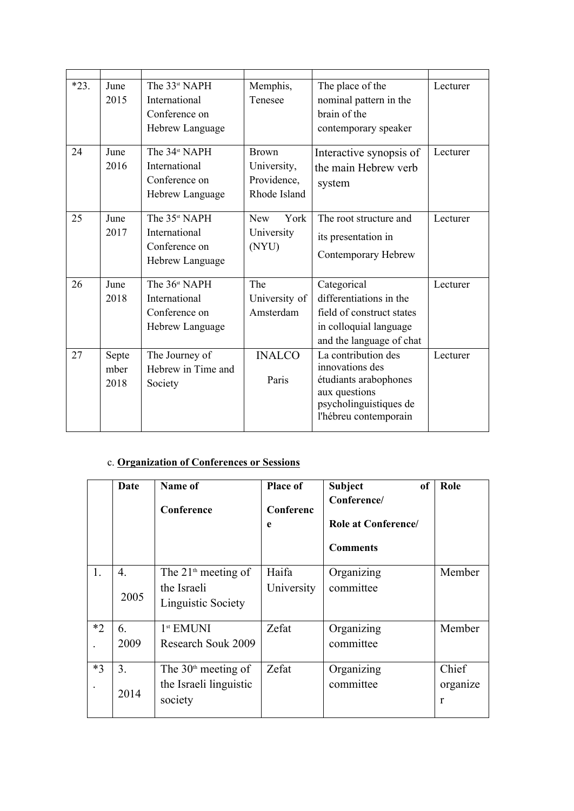| $*23.$ | June  | The 33 <sup>st</sup> NAPH | Memphis,           | The place of the                        | Lecturer |
|--------|-------|---------------------------|--------------------|-----------------------------------------|----------|
|        | 2015  | International             | Tenesee            | nominal pattern in the                  |          |
|        |       | Conference on             |                    | brain of the                            |          |
|        |       | Hebrew Language           |                    | contemporary speaker                    |          |
| 24     | June  | The 34 <sup>st</sup> NAPH | <b>Brown</b>       | Interactive synopsis of                 | Lecturer |
|        | 2016  | International             | University,        | the main Hebrew verb                    |          |
|        |       | Conference on             | Providence,        | system                                  |          |
|        |       | Hebrew Language           | Rhode Island       |                                         |          |
| 25     | June  | The 35 <sup>st</sup> NAPH | York<br><b>New</b> | The root structure and                  | Lecturer |
|        | 2017  | International             | University         | its presentation in                     |          |
|        |       | Conference on             | (NYU)              |                                         |          |
|        |       | Hebrew Language           |                    | Contemporary Hebrew                     |          |
| 26     | June  | The 36 <sup>st</sup> NAPH | The                | Categorical                             | Lecturer |
|        | 2018  | International             | University of      | differentiations in the                 |          |
|        |       | Conference on             | Amsterdam          | field of construct states               |          |
|        |       | Hebrew Language           |                    | in colloquial language                  |          |
|        |       |                           |                    | and the language of chat                |          |
| 27     | Septe | The Journey of            | <b>INALCO</b>      | La contribution des                     | Lecturer |
|        | mber  | Hebrew in Time and        |                    | innovations des                         |          |
|        | 2018  | Society                   | Paris              | étudiants arabophones                   |          |
|        |       |                           |                    | aux questions<br>psycholinguistiques de |          |
|        |       |                           |                    | l'hébreu contemporain                   |          |
|        |       |                           |                    |                                         |          |

## c. **Organization of Conferences or Sessions**

|      | Date       | Name of<br>Conference                                                | Place of<br>Conferenc<br>e | <b>Subject</b><br>of<br>Conference/<br><b>Role at Conference</b><br><b>Comments</b> | Role                              |
|------|------------|----------------------------------------------------------------------|----------------------------|-------------------------------------------------------------------------------------|-----------------------------------|
| 1.   | 4.<br>2005 | The $21^{\text{th}}$ meeting of<br>the Israeli<br>Linguistic Society | Haifa<br>University        | Organizing<br>committee                                                             | Member                            |
| $*2$ | 6.<br>2009 | 1 <sup>st</sup> EMUNI<br>Research Souk 2009                          | Zefat                      | Organizing<br>committee                                                             | Member                            |
| $*3$ | 3.<br>2014 | The $30th$ meeting of<br>the Israeli linguistic<br>society           | Zefat                      | Organizing<br>committee                                                             | Chief<br>organize<br>$\mathbf{r}$ |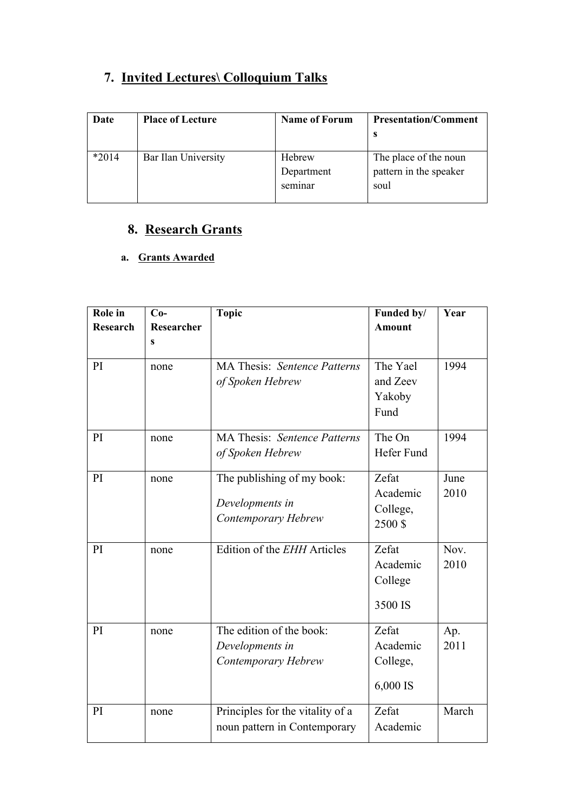# **7. Invited Lectures\ Colloquium Talks**

| Date    | <b>Place of Lecture</b> | <b>Name of Forum</b>            | <b>Presentation/Comment</b>                             |
|---------|-------------------------|---------------------------------|---------------------------------------------------------|
| $*2014$ | Bar Ilan University     | Hebrew<br>Department<br>seminar | The place of the noun<br>pattern in the speaker<br>soul |

# **8. Research Grants**

## **a. Grants Awarded**

| Role in<br>Research | $Co-$<br>Researcher | <b>Topic</b>                        | Funded by/<br><b>Amount</b> | Year  |
|---------------------|---------------------|-------------------------------------|-----------------------------|-------|
|                     | S                   |                                     |                             |       |
| PI                  | none                | <b>MA Thesis: Sentence Patterns</b> | The Yael                    | 1994  |
|                     |                     | of Spoken Hebrew                    | and Zeev<br>Yakoby          |       |
|                     |                     |                                     | Fund                        |       |
| PI                  | none                | <b>MA Thesis: Sentence Patterns</b> | The On                      | 1994  |
|                     |                     | of Spoken Hebrew                    | Hefer Fund                  |       |
| PI                  | none                | The publishing of my book:          | Zefat                       | June  |
|                     |                     | Developments in                     | Academic                    | 2010  |
|                     |                     | Contemporary Hebrew                 | College,                    |       |
|                     |                     |                                     | 2500\$                      |       |
| PI                  | none                | Edition of the EHH Articles         | Zefat                       | Nov.  |
|                     |                     |                                     | Academic                    | 2010  |
|                     |                     |                                     | College                     |       |
|                     |                     |                                     | 3500 IS                     |       |
| PI                  | none                | The edition of the book:            | Zefat                       | Ap.   |
|                     |                     | Developments in                     | Academic                    | 2011  |
|                     |                     | Contemporary Hebrew                 | College,                    |       |
|                     |                     |                                     | 6,000 IS                    |       |
| PI                  | none                | Principles for the vitality of a    | Zefat                       | March |
|                     |                     | noun pattern in Contemporary        | Academic                    |       |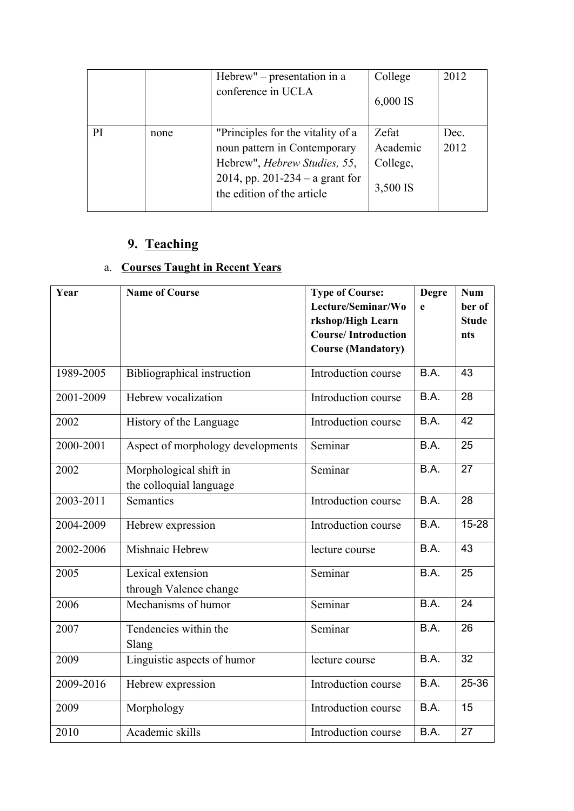|    |      | Hebrew" $-$ presentation in a<br>conference in UCLA                                                                                                                        | College<br>$6,000$ IS                     | 2012         |
|----|------|----------------------------------------------------------------------------------------------------------------------------------------------------------------------------|-------------------------------------------|--------------|
| PI | none | "Principles for the vitality of a<br>noun pattern in Contemporary<br>Hebrew", <i>Hebrew Studies</i> , 55,<br>2014, pp. 201-234 – a grant for<br>the edition of the article | Zefat<br>Academic<br>College,<br>3,500 IS | Dec.<br>2012 |

# **9. Teaching**

# a. **Courses Taught in Recent Years**

| Year      | <b>Name of Course</b>                             | <b>Type of Course:</b><br>Lecture/Seminar/Wo<br>rkshop/High Learn<br><b>Course/Introduction</b><br><b>Course (Mandatory)</b> | <b>Degre</b><br>e | <b>Num</b><br>ber of<br><b>Stude</b><br>nts |
|-----------|---------------------------------------------------|------------------------------------------------------------------------------------------------------------------------------|-------------------|---------------------------------------------|
| 1989-2005 | Bibliographical instruction                       | Introduction course                                                                                                          | B.A.              | 43                                          |
| 2001-2009 | Hebrew vocalization                               | Introduction course                                                                                                          | B.A.              | 28                                          |
| 2002      | History of the Language                           | Introduction course                                                                                                          | B.A.              | 42                                          |
| 2000-2001 | Aspect of morphology developments                 | Seminar                                                                                                                      | B.A.              | 25                                          |
| 2002      | Morphological shift in<br>the colloquial language | Seminar                                                                                                                      | B.A.              | 27                                          |
| 2003-2011 | Semantics                                         | Introduction course                                                                                                          | B.A.              | 28                                          |
| 2004-2009 | Hebrew expression                                 | Introduction course                                                                                                          | B.A.              | $15 - 28$                                   |
| 2002-2006 | Mishnaic Hebrew                                   | lecture course                                                                                                               | B.A.              | 43                                          |
| 2005      | Lexical extension<br>through Valence change       | Seminar                                                                                                                      | B.A.              | 25                                          |
| 2006      | Mechanisms of humor                               | Seminar                                                                                                                      | B.A.              | 24                                          |
| 2007      | Tendencies within the<br>Slang                    | Seminar                                                                                                                      | B.A.              | 26                                          |
| 2009      | Linguistic aspects of humor                       | lecture course                                                                                                               | B.A.              | 32                                          |
| 2009-2016 | Hebrew expression                                 | Introduction course                                                                                                          | B.A.              | 25-36                                       |
| 2009      | Morphology                                        | Introduction course                                                                                                          | B.A.              | 15                                          |
| 2010      | Academic skills                                   | Introduction course                                                                                                          | B.A.              | 27                                          |